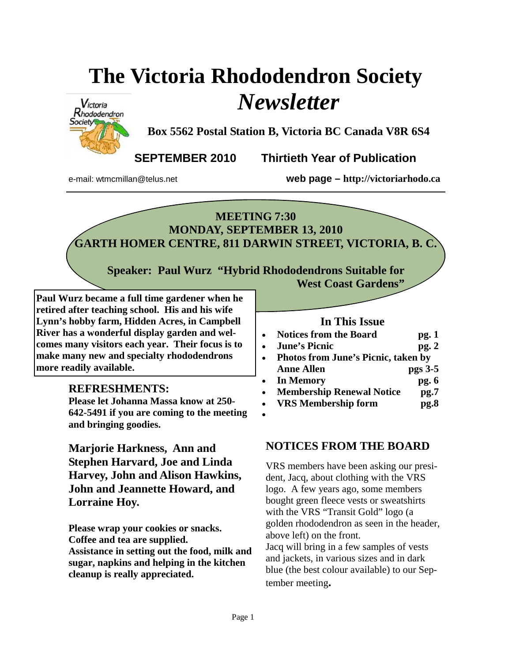# **The Victoria Rhododendron Society**  *Newsletter*



**Box 5562 Postal Station B, Victoria BC Canada V8R 6S4** 

**SEPTEMBER 2010 Thirtieth Year of Publication** 

e-mail: wtmcmillan@telus.net **web page – http://victoriarhodo.ca**

# **MEETING 7:30 MONDAY, SEPTEMBER 13, 2010 GARTH HOMER CENTRE, 811 DARWIN STREET, VICTORIA, B. C.**

**Speaker: Paul Wurz "Hybrid Rhododendrons Suitable for West Coast Gardens"** 

**Paul Wurz became a full time gardener when he retired after teaching school. His and his wife Lynn's hobby farm, Hidden Acres, in Campbell River has a wonderful display garden and welcomes many visitors each year. Their focus is to make many new and specialty rhododendrons more readily available.** 

#### **REFRESHMENTS:**

**Please let Johanna Massa know at 250- 642-5491 if you are coming to the meeting and bringing goodies.** 

**Marjorie Harkness, Ann and Stephen Harvard, Joe and Linda Harvey, John and Alison Hawkins, John and Jeannette Howard, and Lorraine Hoy.** 

**Please wrap your cookies or snacks. Coffee and tea are supplied. Assistance in setting out the food, milk and sugar, napkins and helping in the kitchen cleanup is really appreciated.**

#### **In This Issue**

- **Notices from the Board pg. 1**
- *June's Picnic* **pg. 2**
- **Photos from June's Picnic, taken by**  Anne Allen pgs 3-5
- **In Memory pg. 6**
- **Membership Renewal Notice pg.7**
- **VRS Membership form pg.8**  •

#### **NOTICES FROM THE BOARD**

VRS members have been asking our president, Jacq, about clothing with the VRS logo. A few years ago, some members bought green fleece vests or sweatshirts with the VRS "Transit Gold" logo (a golden rhododendron as seen in the header, above left) on the front. Jacq will bring in a few samples of vests and jackets, in various sizes and in dark blue (the best colour available) to our Sep-

tember meeting**.**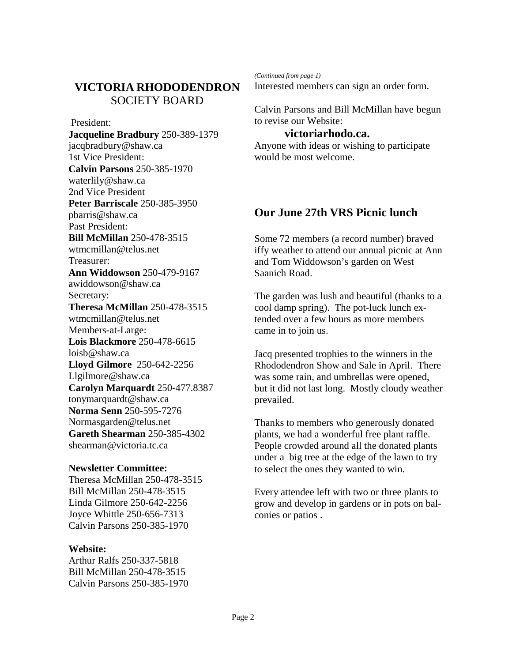## **VICTORIA RHODODENDRON**  SOCIETY BOARD

 President: **Jacqueline Bradbury** 250-389-1379 jacqbradbury@shaw.ca 1st Vice President: **Calvin Parsons** 250-385-1970 waterlily@shaw.ca 2nd Vice President **Peter Barriscale** 250-385-3950 pbarris@shaw.ca Past President: **Bill McMillan** 250-478-3515 wtmcmillan@telus.net Treasurer: **Ann Widdowson** 250-479-9167 awiddowson@shaw.ca Secretary: **Theresa McMillan** 250-478-3515 wtmcmillan@telus.net Members-at-Large: **Lois Blackmore** 250-478-6615 loisb@shaw.ca **Lloyd Gilmore** 250-642-2256 Llgilmore@shaw.ca **Carolyn Marquardt** 250-477.8387 tonymarquardt@shaw.ca **Norma Senn** 250-595-7276 Normasgarden@telus.net **Gareth Shearman** 250-385-4302 shearman@victoria.tc.ca

#### **Newsletter Committee:**

Theresa McMillan 250-478-3515 Bill McMillan 250-478-3515 Linda Gilmore 250-642-2256 Joyce Whittle 250-656-7313 Calvin Parsons 250-385-1970

#### **Website:**

Arthur Ralfs 250-337-5818 Bill McMillan 250-478-3515 Calvin Parsons 250-385-1970 *(Continued from page 1)* 

Interested members can sign an order form.

Calvin Parsons and Bill McMillan have begun to revise our Website:

#### **victoriarhodo.ca.**

Anyone with ideas or wishing to participate would be most welcome.

#### **Our June 27th VRS Picnic lunch**

Some 72 members (a record number) braved iffy weather to attend our annual picnic at Ann and Tom Widdowson's garden on West Saanich Road.

The garden was lush and beautiful (thanks to a cool damp spring). The pot-luck lunch extended over a few hours as more members came in to join us.

Jacq presented trophies to the winners in the Rhododendron Show and Sale in April. There was some rain, and umbrellas were opened, but it did not last long. Mostly cloudy weather prevailed.

Thanks to members who generously donated plants, we had a wonderful free plant raffle. People crowded around all the donated plants under a big tree at the edge of the lawn to try to select the ones they wanted to win.

Every attendee left with two or three plants to grow and develop in gardens or in pots on balconies or patios .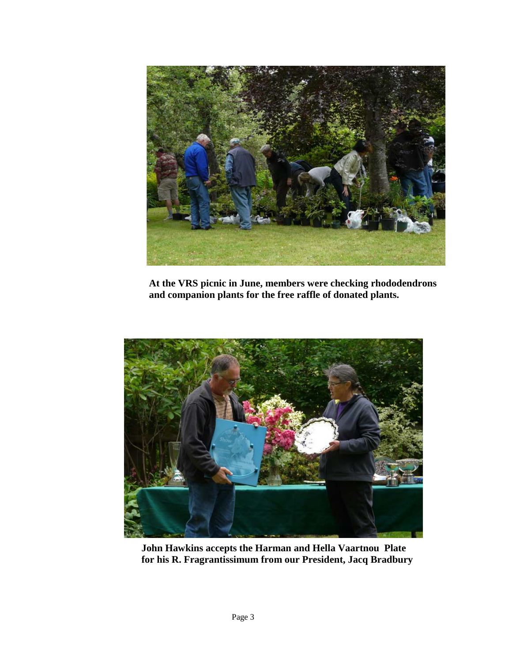

**At the VRS picnic in June, members were checking rhododendrons and companion plants for the free raffle of donated plants.**



**John Hawkins accepts the Harman and Hella Vaartnou Plate for his R. Fragrantissimum from our President, Jacq Bradbury**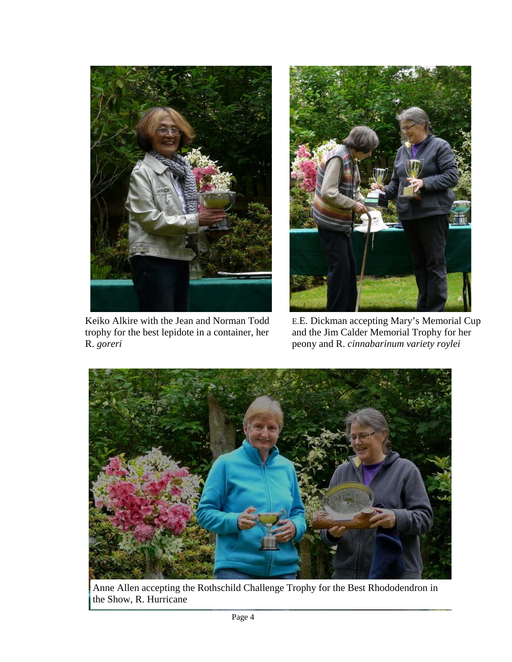

Keiko Alkire with the Jean and Norman Todd trophy for the best lepidote in a container, her R. *goreri*



E.E. Dickman accepting Mary's Memorial Cup and the Jim Calder Memorial Trophy for her peony and R. *cinnabarinum variety roylei*



Anne Allen accepting the Rothschild Challenge Trophy for the Best Rhododendron in the Show, R. Hurricane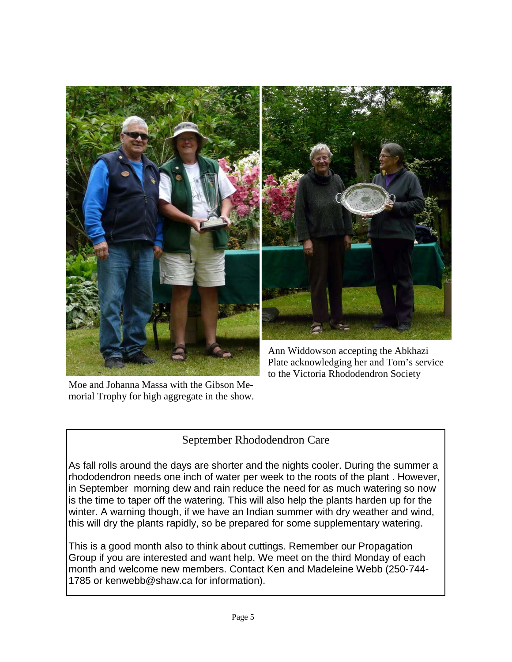

Moe and Johanna Massa with the Gibson Memorial Trophy for high aggregate in the show.

## September Rhododendron Care

As fall rolls around the days are shorter and the nights cooler. During the summer a rhododendron needs one inch of water per week to the roots of the plant . However, in September morning dew and rain reduce the need for as much watering so now is the time to taper off the watering. This will also help the plants harden up for the winter. A warning though, if we have an Indian summer with dry weather and wind, this will dry the plants rapidly, so be prepared for some supplementary watering.

This is a good month also to think about cuttings. Remember our Propagation Group if you are interested and want help. We meet on the third Monday of each month and welcome new members. Contact Ken and Madeleine Webb (250-744- 1785 or kenwebb@shaw.ca for information).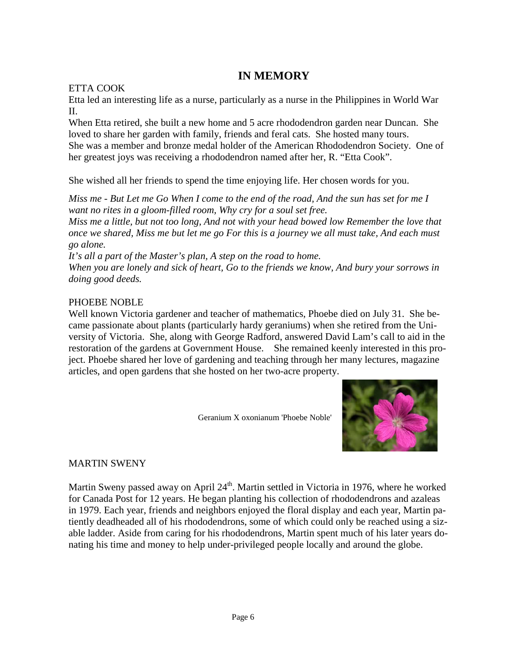## **IN MEMORY**

#### ETTA COOK

Etta led an interesting life as a nurse, particularly as a nurse in the Philippines in World War II.

When Etta retired, she built a new home and 5 acre rhododendron garden near Duncan. She loved to share her garden with family, friends and feral cats. She hosted many tours. She was a member and bronze medal holder of the American Rhododendron Society. One of her greatest joys was receiving a rhododendron named after her, R. "Etta Cook".

She wished all her friends to spend the time enjoying life. Her chosen words for you.

*Miss me - But Let me Go When I come to the end of the road, And the sun has set for me I want no rites in a gloom-filled room, Why cry for a soul set free.* 

*Miss me a little, but not too long, And not with your head bowed low Remember the love that once we shared, Miss me but let me go For this is a journey we all must take, And each must go alone.* 

*It's all a part of the Master's plan, A step on the road to home. When you are lonely and sick of heart, Go to the friends we know, And bury your sorrows in doing good deeds.* 

#### PHOEBE NOBLE

Well known Victoria gardener and teacher of mathematics, Phoebe died on July 31. She became passionate about plants (particularly hardy geraniums) when she retired from the University of Victoria. She, along with George Radford, answered David Lam's call to aid in the restoration of the gardens at Government House. She remained keenly interested in this project. Phoebe shared her love of gardening and teaching through her many lectures, magazine articles, and open gardens that she hosted on her two-acre property.

Geranium X oxonianum 'Phoebe Noble'



#### MARTIN SWENY

Martin Sweny passed away on April 24<sup>th</sup>. Martin settled in Victoria in 1976, where he worked for Canada Post for 12 years. He began planting his collection of rhododendrons and azaleas in 1979. Each year, friends and neighbors enjoyed the floral display and each year, Martin patiently deadheaded all of his rhododendrons, some of which could only be reached using a sizable ladder. Aside from caring for his rhododendrons, Martin spent much of his later years donating his time and money to help under-privileged people locally and around the globe.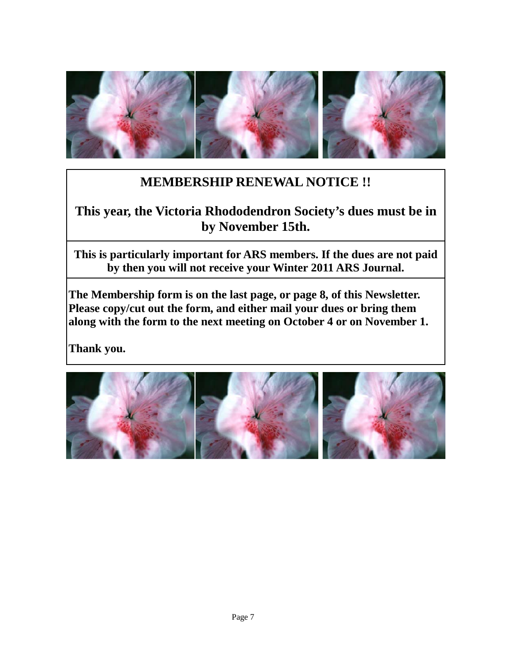

# **MEMBERSHIP RENEWAL NOTICE !!**

# **This year, the Victoria Rhododendron Society's dues must be in by November 15th.**

**This is particularly important for ARS members. If the dues are not paid by then you will not receive your Winter 2011 ARS Journal.** 

**The Membership form is on the last page, or page 8, of this Newsletter. Please copy/cut out the form, and either mail your dues or bring them along with the form to the next meeting on October 4 or on November 1.** 

**Thank you.**